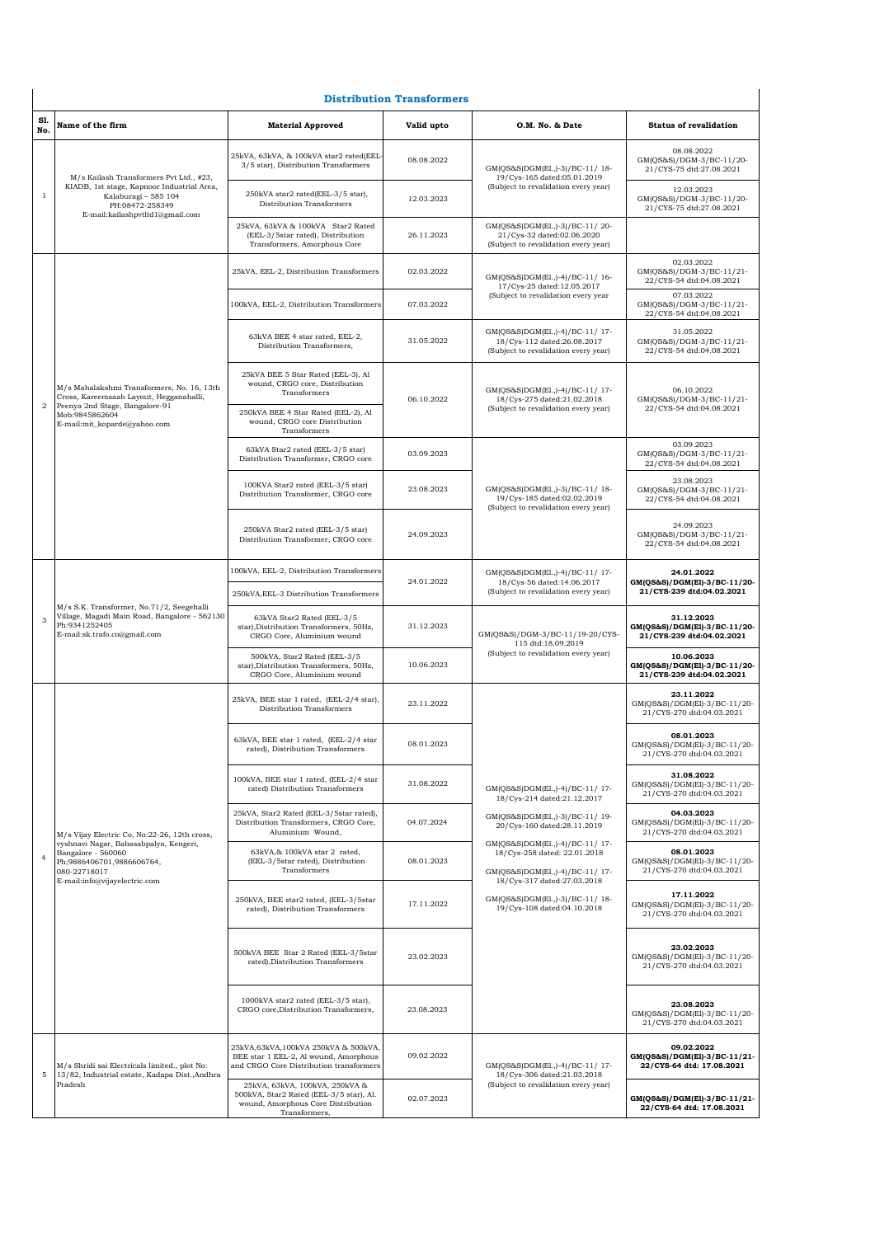| <b>Distribution Transformers</b> |                                                                                                                                                                     |                                                                                                                                  |            |                                                                                                                                                                                                                                                                   |                                                                         |  |
|----------------------------------|---------------------------------------------------------------------------------------------------------------------------------------------------------------------|----------------------------------------------------------------------------------------------------------------------------------|------------|-------------------------------------------------------------------------------------------------------------------------------------------------------------------------------------------------------------------------------------------------------------------|-------------------------------------------------------------------------|--|
| Sl.<br>No.                       | Name of the firm                                                                                                                                                    | <b>Material Approved</b>                                                                                                         | Valid upto | O.M. No. & Date                                                                                                                                                                                                                                                   | <b>Status of revalidation</b>                                           |  |
| $\,1$                            | M/s Kailash Transformers Pvt Ltd., #23,<br>KIADB, 1st stage, Kapnoor Industrial Area,<br>Kalaburagi - 585 104<br>PH:08472-258349<br>E-mail:kailashpvtltd1@gmail.com | 25kVA, 63kVA, & 100kVA star2 rated(EEL<br>3/5 star), Distribution Transformers                                                   | 08.08.2022 | GM(QS&S)DGM(El.,)-3)/BC-11/18-<br>19/Cys-165 dated:05.01.2019                                                                                                                                                                                                     | 08.08.2022<br>GM(QS&S)/DGM-3/BC-11/20-<br>21/CYS-75 dtd:27.08.2021      |  |
|                                  |                                                                                                                                                                     | 250kVA star2 rated(EEL-3/5 star),<br>Distribution Transformers                                                                   | 12.03.2023 | (Subject to revalidation every year)                                                                                                                                                                                                                              | 12.03.2023<br>GM(QS&S)/DGM-3/BC-11/20-<br>21/CYS-75 dtd:27.08.2021      |  |
|                                  |                                                                                                                                                                     | 25kVA, 63kVA & 100kVA Star2 Rated<br>(EEL-3/5star rated), Distribution<br>Transformers, Amorphous Core                           | 26.11.2023 | GM(QS&S)DGM(El.,)-3)/BC-11/20-<br>21/Cys-32 dated:02.06.2020<br>(Subject to revalidation every year)                                                                                                                                                              |                                                                         |  |
|                                  |                                                                                                                                                                     | 25kVA, EEL-2, Distribution Transformers                                                                                          | 02.03.2022 | GM(QS&S)DGM(El.,)-4)/BC-11/16-<br>17/Cys-25 dated:12.05.2017<br>(Subject to revalidation every year                                                                                                                                                               | 02.03.2022<br>GM(QS&S)/DGM-3/BC-11/21-<br>22/CYS-54 dtd:04.08.2021      |  |
|                                  |                                                                                                                                                                     | 100kVA, EEL-2, Distribution Transformers                                                                                         | 07.03.2022 |                                                                                                                                                                                                                                                                   | 07.03.2022<br>GM(QS&S)/DGM-3/BC-11/21-<br>22/CYS-54 dtd:04.08.2021      |  |
|                                  |                                                                                                                                                                     | 63kVA BEE 4 star rated, EEL-2,<br>Distribution Transformers,                                                                     | 31.05.2022 | GM(QS&S)DGM(El.,)-4)/BC-11/17-<br>18/Cys-112 dated:26.08.2017<br>(Subject to revalidation every year)                                                                                                                                                             | 31.05.2022<br>GM(QS&S)/DGM-3/BC-11/21-<br>22/CYS-54 dtd:04.08.2021      |  |
|                                  | M/s Mahalakshmi Transformers, No. 16, 13th<br>Cross, Kareemsaab Layout, Hegganahalli,                                                                               | 25kVA BEE 5 Star Rated (EEL-3), Al<br>wound, CRGO core, Distribution<br>Transformers                                             | 06.10.2022 | GM(QS&S)DGM(El.,)-4)/BC-11/17-<br>18/Cys-275 dated:21.02.2018                                                                                                                                                                                                     | 06.10.2022<br>GM(QS&S)/DGM-3/BC-11/21-                                  |  |
| $\overline{2}$                   | Peenya 2nd Stage, Bangalore-91<br>Mob:9845862604<br>E-mail:mit_koparde@yahoo.com                                                                                    | 250kVA BEE 4 Star Rated (EEL-2), Al<br>wound, CRGO core Distribution<br>Transformers                                             |            | (Subject to revalidation every year)                                                                                                                                                                                                                              | 22/CYS-54 dtd:04.08.2021                                                |  |
|                                  |                                                                                                                                                                     | 63kVA Star2 rated (EEL-3/5 star)<br>Distribution Transformer, CRGO core                                                          | 03.09.2023 |                                                                                                                                                                                                                                                                   | 03.09.2023<br>GM(QS&S)/DGM-3/BC-11/21-<br>22/CYS-54 dtd:04.08.2021      |  |
|                                  |                                                                                                                                                                     | 100KVA Star2 rated (EEL-3/5 star)<br>Distribution Transformer, CRGO core                                                         | 23.08.2023 | GM(QS&S)DGM(El.,)-3)/BC-11/18-<br>19/Cys-185 dated:02.02.2019<br>(Subject to revalidation every year)                                                                                                                                                             | 23.08.2023<br>GM(QS&S)/DGM-3/BC-11/21-<br>22/CYS-54 dtd:04.08.2021      |  |
|                                  |                                                                                                                                                                     | 250kVA Star2 rated (EEL-3/5 star)<br>Distribution Transformer, CRGO core                                                         | 24.09.2023 |                                                                                                                                                                                                                                                                   | 24.09.2023<br>GM(QS&S)/DGM-3/BC-11/21-<br>22/CYS-54 dtd:04.08.2021      |  |
|                                  |                                                                                                                                                                     | 100kVA, EEL-2, Distribution Transformers                                                                                         | 24.01.2022 | GM(QS&S)DGM(El.,)-4)/BC-11/17-<br>18/Cys-56 dated:14.06.2017                                                                                                                                                                                                      | 24.01.2022<br>GM(QS&S)/DGM(El)-3/BC-11/20-                              |  |
|                                  | M/s S.K. Transformer, No.71/2, Seegehalli                                                                                                                           | 250kVA, EEL-3 Distribution Transformers                                                                                          |            | (Subject to revalidation every year)                                                                                                                                                                                                                              | 21/CYS-239 dtd:04.02.2021                                               |  |
| 3                                | Village, Magadi Main Road, Bangalore - 562130<br>Ph:9341252405<br>E-mail:sk.trafo.co@gmail.com                                                                      | 63kVA Star2 Rated (EEL-3/5<br>star), Distribution Transformers, 50Hz,<br>CRGO Core, Aluminium wound                              | 31.12.2023 | GM(QS&S)/DGM-3/BC-11/19-20/CYS-<br>115 dtd:18.09.2019<br>(Subject to revalidation every year)                                                                                                                                                                     | 31.12.2023<br>GM(QS&S)/DGM(El)-3/BC-11/20-<br>21/CYS-239 dtd:04.02.2021 |  |
|                                  |                                                                                                                                                                     | 500kVA, Star2 Rated (EEL-3/5<br>star), Distribution Transformers, 50Hz,<br>CRGO Core, Aluminium wound                            | 10.06.2023 |                                                                                                                                                                                                                                                                   | 10.06.2023<br>GM(QS&S)/DGM(El)-3/BC-11/20-<br>21/CYS-239 dtd:04.02.2021 |  |
|                                  |                                                                                                                                                                     | 25kVA, BEE star 1 rated, (EEL-2/4 star),<br>Distribution Transformers                                                            | 23.11.2022 |                                                                                                                                                                                                                                                                   | 23.11.2022<br>GM(QS&S)/DGM(El)-3/BC-11/20-<br>21/CYS-270 dtd:04.03.2021 |  |
|                                  |                                                                                                                                                                     | 63kVA, BEE star 1 rated, (EEL-2/4 star<br>rated), Distribution Transformers                                                      | 08.01.2023 |                                                                                                                                                                                                                                                                   | 08.01.2023<br>GM(QS&S)/DGM(El)-3/BC-11/20-<br>21/CYS-270 dtd:04.03.2021 |  |
|                                  |                                                                                                                                                                     | 100kVA, BEE star 1 rated, (EEL-2/4 star<br>rated) Distribution Transformers                                                      | 31.08.2022 | GM(QS&S)DGM(El.,)-4)/BC-11/17-<br>18/Cys-214 dated:21.12.2017                                                                                                                                                                                                     | 31.08.2022<br>GM(QS&S)/DGM(El)-3/BC-11/20-<br>21/CYS-270 dtd:04.03.2021 |  |
|                                  | M/s Vijay Electric Co, No:22-26, 12th cross,                                                                                                                        | 25kVA, Star2 Rated (EEL-3/5star rated),<br>Distribution Transformers, CRGO Core,<br>Aluminium Wound,                             | 04.07.2024 | GM(OS&S)DGM(El.,)-3)/BC-11/19-<br>20/Cys-160 dated:28.11.2019<br>GM(QS&S)DGM(El.,)-4)/BC-11/17-<br>18/Cys-258 dated: 22.01.2018<br>GM(QS&S)DGM(El.,)-4)/BC-11/17-<br>18/Cys-317 dated:27.03.2018<br>GM(QS&S)DGM(El.,)-3)/BC-11/18-<br>19/Cys-108 dated:04.10.2018 | 04.03.2023<br>GM(QS&S)/DGM(El)-3/BC-11/20-<br>21/CYS-270 dtd:04.03.2021 |  |
| $\overline{4}$                   | vyshnavi Nagar, Babasabpalya, Kengeri,<br>Bangalore - 560060<br>Ph;9886406701,9886606764,<br>080-22718017                                                           | 63kVA,& 100kVA star 2 rated,<br>(EEL-3/5star rated), Distribution<br>Transformers                                                | 08.01.2023 |                                                                                                                                                                                                                                                                   | 08.01.2023<br>GM(QS&S)/DGM(El)-3/BC-11/20-<br>21/CYS-270 dtd:04.03.2021 |  |
|                                  | E-mail:info@vijayelectric.com                                                                                                                                       | 250kVA, BEE star2 rated, (EEL-3/5star<br>rated), Distribution Transformers                                                       | 17.11.2022 |                                                                                                                                                                                                                                                                   | 17.11.2022<br>GM(QS&S)/DGM(El)-3/BC-11/20-<br>21/CYS-270 dtd:04.03.2021 |  |
|                                  |                                                                                                                                                                     | 500kVA BEE Star 2 Rated (EEL-3/5star<br>rated), Distribution Transformers                                                        | 23.02.2023 |                                                                                                                                                                                                                                                                   | 23.02.2023<br>GM(QS&S)/DGM(El)-3/BC-11/20-<br>21/CYS-270 dtd:04.03.2021 |  |
|                                  |                                                                                                                                                                     | 1000kVA star2 rated (EEL-3/5 star),<br>CRGO core, Distribution Transformers,                                                     | 23.08.2023 |                                                                                                                                                                                                                                                                   | 23.08.2023<br>GM(QS&S)/DGM(El)-3/BC-11/20-<br>21/CYS-270 dtd:04.03.2021 |  |
| 5                                | M/s Shridi sai Electricals limited., plot No:<br>13/82, Industrial estate, Kadapa Dist., Andhra<br>Pradesh                                                          | 25kVA,63kVA,100kVA 250kVA & 500kVA,<br>BEE star 1 EEL-2, Al wound, Amorphous<br>and CRGO Core Distribution transformers          | 09.02.2022 | GM(QS&S)DGM(El.,)-4)/BC-11/17-<br>18/Cys-306 dated:21.03.2018<br>(Subject to revalidation every year)                                                                                                                                                             | 09.02.2022<br>GM(QS&S)/DGM(El)-3/BC-11/21-<br>22/CYS-64 dtd: 17.08.2021 |  |
|                                  |                                                                                                                                                                     | 25kVA, 63kVA, 100kVA, 250kVA &<br>500kVA, Star2 Rated (EEL-3/5 star), Al.<br>wound, Amorphous Core Distribution<br>Transformers, | 02.07.2023 |                                                                                                                                                                                                                                                                   | GM(QS&S)/DGM(El)-3/BC-11/21-<br>22/CYS-64 dtd: 17.08.2021               |  |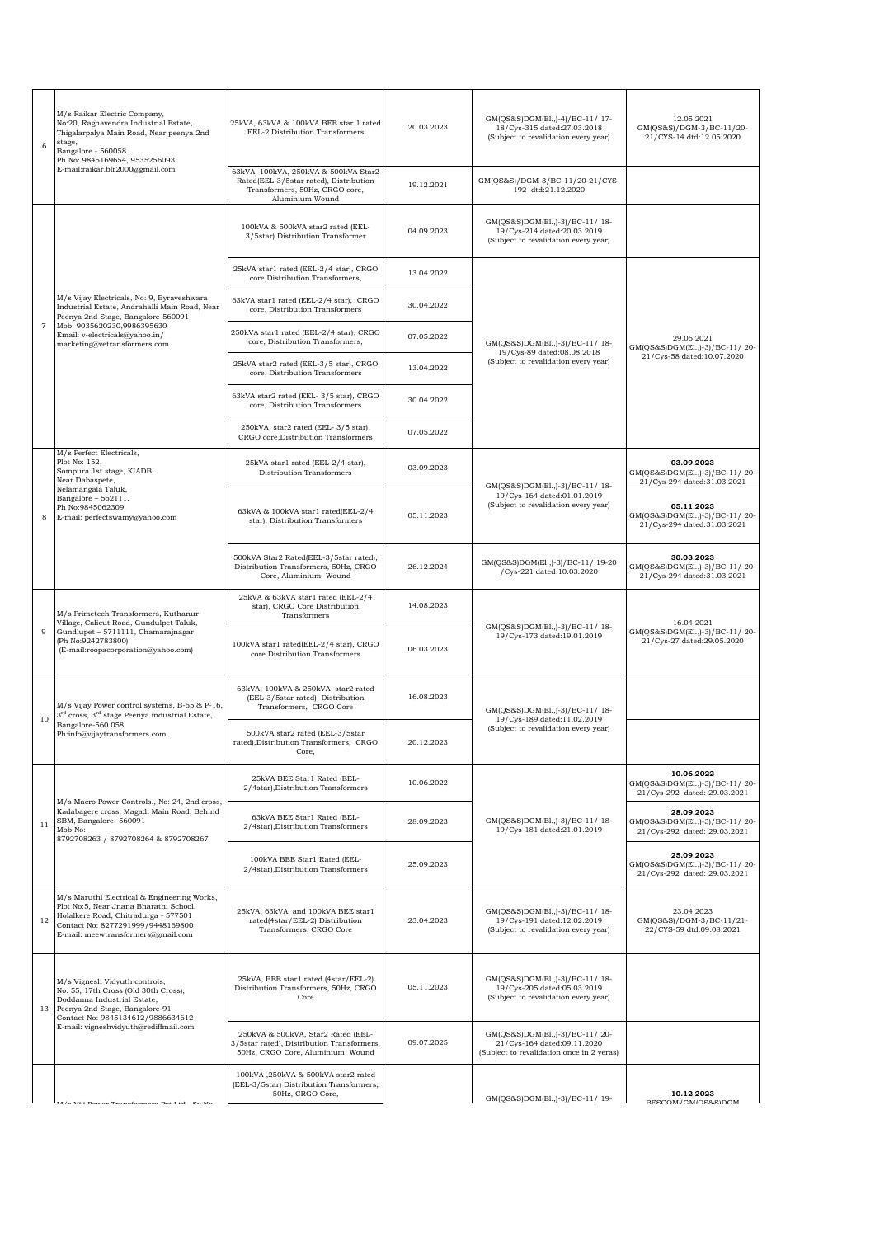| M/s Raikar Electric Company,<br>No:20, Raghavendra Industrial Estate,<br>Thigalarpalya Main Road, Near peenya 2nd<br>stage,<br>Bangalore - 560058.<br>Ph No: 9845169654, 9535256093.<br>E-mail:raikar.blr2000@gmail.com | 25kVA, 63kVA & 100kVA BEE star 1 rated<br>EEL-2 Distribution Transformers                                                           | 20.03.2023 | GM(QS&S)DGM(El.,)-4)/BC-11/17-<br>18/Cys-315 dated:27.03.2018<br>(Subject to revalidation every year)      | 12.05.2021<br>GM(QS&S)/DGM-3/BC-11/20-<br>21/CYS-14 dtd:12.05.2020           |
|-------------------------------------------------------------------------------------------------------------------------------------------------------------------------------------------------------------------------|-------------------------------------------------------------------------------------------------------------------------------------|------------|------------------------------------------------------------------------------------------------------------|------------------------------------------------------------------------------|
|                                                                                                                                                                                                                         | 63kVA, 100kVA, 250kVA & 500kVA Star2<br>Rated(EEL-3/5star rated), Distribution<br>Transformers, 50Hz, CRGO core,<br>Aluminium Wound | 19.12.2021 | GM(QS&S)/DGM-3/BC-11/20-21/CYS-<br>192 dtd:21.12.2020                                                      |                                                                              |
|                                                                                                                                                                                                                         | 100kVA & 500kVA star2 rated (EEL-<br>3/5star) Distribution Transformer                                                              | 04.09.2023 | GM(QS&S)DGM(El.,)-3)/BC-11/18-<br>19/Cys-214 dated:20.03.2019<br>(Subject to revalidation every year)      |                                                                              |
|                                                                                                                                                                                                                         | 25kVA star1 rated (EEL-2/4 star), CRGO<br>core, Distribution Transformers,                                                          | 13.04.2022 |                                                                                                            |                                                                              |
| M/s Vijay Electricals, No: 9, Byraveshwara<br>Industrial Estate, Andrahalli Main Road, Near<br>Peenya 2nd Stage, Bangalore-560091                                                                                       | 63kVA star1 rated (EEL-2/4 star), CRGO<br>core, Distribution Transformers                                                           | 30.04.2022 |                                                                                                            |                                                                              |
| Mob: 9035620230,9986395630<br>Email: v-electricals@yahoo.in/<br>marketing@vetransformers.com.                                                                                                                           | 250kVA star1 rated (EEL-2/4 star), CRGO<br>core, Distribution Transformers,                                                         | 07.05.2022 | GM(QS&S)DGM(El.,)-3)/BC-11/18-                                                                             | 29.06.2021<br>GM(QS&S)DGM(El.,)-3)/BC-11/20-                                 |
|                                                                                                                                                                                                                         | 25kVA star2 rated (EEL-3/5 star), CRGO<br>core, Distribution Transformers                                                           | 13.04.2022 | 19/Cys-89 dated:08.08.2018<br>(Subject to revalidation every year)                                         | 21/Cys-58 dated:10.07.2020                                                   |
|                                                                                                                                                                                                                         | 63kVA star2 rated (EEL-3/5 star), CRGO<br>core, Distribution Transformers                                                           | 30.04.2022 |                                                                                                            |                                                                              |
|                                                                                                                                                                                                                         | 250kVA star2 rated (EEL-3/5 star),<br>CRGO core, Distribution Transformers                                                          | 07.05.2022 |                                                                                                            |                                                                              |
| M/s Perfect Electricals,<br>Plot No: 152,<br>Sompura 1st stage, KIADB,<br>Near Dabaspete,<br>Nelamangala Taluk,                                                                                                         | 25kVA star1 rated (EEL-2/4 star),<br>Distribution Transformers                                                                      | 03.09.2023 | GM(QS&S)DGM(El.,)-3)/BC-11/18-                                                                             | 03.09.2023<br>GM(QS&S)DGM(El.,)-3)/BC-11/20-<br>21/Cys-294 dated:31.03.2021  |
| Bangalore - 562111.<br>Ph No:9845062309.<br>E-mail: perfectswamy@yahoo.com                                                                                                                                              | 63kVA & 100kVA star1 rated(EEL-2/4<br>star), Distribution Transformers                                                              | 05.11.2023 | 19/Cys-164 dated:01.01.2019<br>(Subject to revalidation every year)                                        | 05.11.2023<br>GM(QS&S)DGM(El.,)-3)/BC-11/20-<br>21/Cys-294 dated:31.03.2021  |
|                                                                                                                                                                                                                         | 500kVA Star2 Rated(EEL-3/5star rated),<br>Distribution Transformers, 50Hz, CRGO<br>Core, Aluminium Wound                            | 26.12.2024 | GM(QS&S)DGM(El.,)-3)/BC-11/ 19-20<br>/Cys-221 dated:10.03.2020                                             | 30.03.2023<br>GM(QS&S)DGM(El.,)-3)/BC-11/20-<br>21/Cys-294 dated:31.03.2021  |
| M/s Primetech Transformers, Kuthanur                                                                                                                                                                                    | 25kVA & 63kVA star1 rated (EEL-2/4<br>star), CRGO Core Distribution<br>Transformers                                                 | 14.08.2023 |                                                                                                            |                                                                              |
| Village, Calicut Road, Gundulpet Taluk,<br>Gundlupet - 5711111, Chamarajnagar<br>(Ph No:9242783800)<br>(E-mail:roopacorporation@yahoo.com)                                                                              | 100kVA star1 rated(EEL-2/4 star), CRGO<br>core Distribution Transformers                                                            | 06.03.2023 | GM(QS&S)DGM(El.,)-3)/BC-11/18-<br>19/Cys-173 dated:19.01.2019                                              | 16.04.2021<br>GM(QS&S)DGM(El.,)-3)/BC-11/20-<br>21/Cys-27 dated:29.05.2020   |
| M/s Vijay Power control systems, B-65 & P-16,<br>3 <sup>rd</sup> cross, 3 <sup>rd</sup> stage Peenya industrial Estate,                                                                                                 | 63kVA, 100kVA & 250kVA star2 rated<br>(EEL-3/5star rated), Distribution<br>Transformers, CRGO Core                                  | 16.08.2023 | GM(QS&S)DGM(El.,)-3)/BC-11/18-<br>19/Cys-189 dated:11.02.2019                                              |                                                                              |
| Bangalore-560 058<br>Ph:info@vijaytransformers.com                                                                                                                                                                      | 500kVA star2 rated (EEL-3/5star<br>rated), Distribution Transformers, CRGO<br>Core,                                                 | 20.12.2023 | (Subject to revalidation every year)                                                                       |                                                                              |
|                                                                                                                                                                                                                         | 25kVA BEE Star1 Rated (EEL-<br>2/4star), Distribution Transformers                                                                  | 10.06.2022 |                                                                                                            | 10.06.2022<br>GM(QS&S)DGM(El.,)-3)/BC-11/20-<br>21/Cys-292 dated: 29.03.2021 |
| M/s Macro Power Controls., No: 24, 2nd cross,<br>Kadabagere cross, Magadi Main Road, Behind<br>SBM, Bangalore- 560091<br>Mob No:<br>8792708263 / 8792708264 & 8792708267                                                | 63kVA BEE Star1 Rated (EEL-<br>2/4star), Distribution Transformers                                                                  | 28.09.2023 | GM(QS&S)DGM(El.,)-3)/BC-11/18-<br>19/Cys-181 dated:21.01.2019                                              | 28.09.2023<br>GM(QS&S)DGM(El.,)-3)/BC-11/20-<br>21/Cys-292 dated: 29.03.2021 |
|                                                                                                                                                                                                                         | 100kVA BEE Star1 Rated (EEL-<br>2/4star), Distribution Transformers                                                                 | 25.09.2023 |                                                                                                            | 25.09.2023<br>GM(QS&S)DGM(El.,)-3)/BC-11/20-<br>21/Cys-292 dated: 29.03.2021 |
| M/s Maruthi Electrical & Engineering Works,<br>Plot No:5, Near Jnana Bharathi School,<br>Holalkere Road, Chitradurga - 577501<br>12<br>Contact No: 8277291999/9448169800<br>E-mail: meewtransformers@gmail.com          | 25kVA, 63kVA, and 100kVA BEE star1<br>rated(4star/EEL-2) Distribution<br>Transformers, CRGO Core                                    | 23.04.2023 | GM(QS&S)DGM(El.,)-3)/BC-11/18-<br>19/Cys-191 dated:12.02.2019<br>(Subject to revalidation every year)      | 23.04.2023<br>GM(QS&S)/DGM-3/BC-11/21-<br>22/CYS-59 dtd:09.08.2021           |
| M/s Vignesh Vidyuth controls,<br>No. 55, 17th Cross (Old 30th Cross),<br>Doddanna Industrial Estate,<br>Peenya 2nd Stage, Bangalore-91<br>13<br>Contact No: 9845134612/9886634612                                       | 25kVA, BEE star1 rated (4star/EEL-2)<br>Distribution Transformers, 50Hz, CRGO<br>Core                                               | 05.11.2023 | GM(QS&S)DGM(El.,)-3)/BC-11/18-<br>19/Cys-205 dated:05.03.2019<br>(Subject to revalidation every year)      |                                                                              |
| E-mail: vigneshvidyuth@rediffmail.com                                                                                                                                                                                   | 250kVA & 500kVA, Star2 Rated (EEL-<br>3/5star rated), Distribution Transformers,<br>50Hz, CRGO Core, Aluminium Wound                | 09.07.2025 | GM(QS&S)DGM(El.,)-3)/BC-11/20-<br>21/Cys-164 dated:09.11.2020<br>(Subject to revalidation once in 2 yeras) |                                                                              |
| MI / a VIII Dansan Tuan afamusana Den T 4.4 Des Ma                                                                                                                                                                      | 100kVA,250kVA & 500kVA star2 rated<br>(EEL-3/5star) Distribution Transformers,<br>50Hz, CRGO Core,                                  |            | GM(QS&S)DGM(El.,)-3)/BC-11/19-                                                                             | 10.12.2023<br>RESCOM/GMIOS&SIDGM                                             |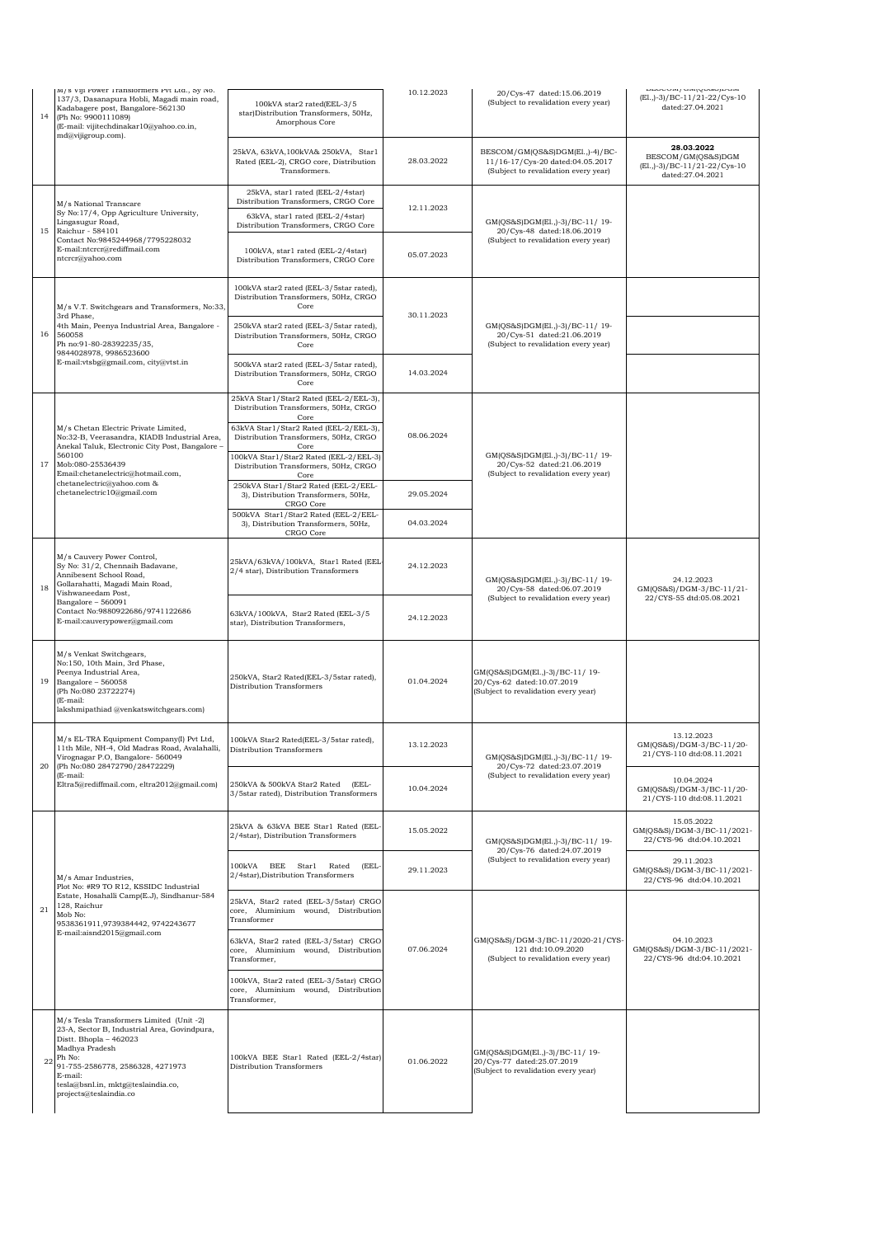|    |                                                                                                                                                                                                                                                               |                                                                                                |            |                                                                                                             | mportney and / window                                                                   |
|----|---------------------------------------------------------------------------------------------------------------------------------------------------------------------------------------------------------------------------------------------------------------|------------------------------------------------------------------------------------------------|------------|-------------------------------------------------------------------------------------------------------------|-----------------------------------------------------------------------------------------|
| 14 | M/S VIJI POWET ITANSIOTMETS PVI LIG., SY IVO.<br>137/3, Dasanapura Hobli, Magadi main road,<br>Kadabagere post, Bangalore-562130<br>(Ph No: 9900111089)<br>(E-mail: vijitechdinakar10@yahoo.co.in,<br>md@vijigroup.com).                                      | 100kVA star2 rated(EEL-3/5<br>star)Distribution Transformers, 50Hz,<br>Amorphous Core          | 10.12.2023 | 20/Cys-47 dated:15.06.2019<br>(Subject to revalidation every year)                                          | (El., )-3)/BC-11/21-22/Cys-10<br>dated:27.04.2021                                       |
|    |                                                                                                                                                                                                                                                               | 25kVA, 63kVA, 100kVA& 250kVA, Star1<br>Rated (EEL-2), CRGO core, Distribution<br>Transformers. | 28.03.2022 | BESCOM/GM(QS&S)DGM(El.,)-4)/BC-<br>11/16-17/Cys-20 dated:04.05.2017<br>(Subject to revalidation every year) | 28.03.2022<br>BESCOM/GM(QS&S)DGM<br>(El., )-3) / BC-11/21-22/Cys-10<br>dated:27.04.2021 |
|    | M/s National Transcare                                                                                                                                                                                                                                        | 25kVA, star1 rated (EEL-2/4star)<br>Distribution Transformers, CRGO Core                       |            |                                                                                                             |                                                                                         |
|    | Sy No:17/4, Opp Agriculture University,<br>Lingasugur Road,<br>15<br>Raichur - 584101<br>Contact No:9845244968/7795228032<br>E-mail:ntcrcr@rediffmail.com<br>ntcrcr@yahoo.com                                                                                 | 63kVA, star1 rated (EEL-2/4star)<br>Distribution Transformers, CRGO Core                       | 12.11.2023 | GM(QS&S)DGM(El.,)-3)/BC-11/19-                                                                              |                                                                                         |
|    |                                                                                                                                                                                                                                                               | 100kVA, star1 rated (EEL-2/4star)<br>Distribution Transformers, CRGO Core                      | 05.07.2023 | 20/Cys-48 dated:18.06.2019<br>(Subject to revalidation every year)                                          |                                                                                         |
|    | M/s V.T. Switchgears and Transformers, No:33,<br>3rd Phase,<br>4th Main, Peenya Industrial Area, Bangalore -<br>560058<br>Ph no:91-80-28392235/35,<br>9844028978, 9986523600                                                                                  | 100kVA star2 rated (EEL-3/5star rated),<br>Distribution Transformers, 50Hz, CRGO<br>Core       | 30.11.2023 |                                                                                                             |                                                                                         |
| 16 |                                                                                                                                                                                                                                                               | 250kVA star2 rated (EEL-3/5star rated),<br>Distribution Transformers, 50Hz, CRGO<br>Core       |            | GM(QS&S)DGM(El.,)-3)/BC-11/19-<br>20/Cys-51 dated:21.06.2019<br>(Subject to revalidation every year)        |                                                                                         |
|    | E-mail:vtsbg@gmail.com, city@vtst.in                                                                                                                                                                                                                          | 500kVA star2 rated (EEL-3/5star rated),<br>Distribution Transformers, 50Hz, CRGO<br>Core       | 14.03.2024 |                                                                                                             |                                                                                         |
|    |                                                                                                                                                                                                                                                               | 25kVA Star1/Star2 Rated (EEL-2/EEL-3),<br>Distribution Transformers, 50Hz, CRGO                |            |                                                                                                             |                                                                                         |
|    | M/s Chetan Electric Private Limited,<br>No:32-B, Veerasandra, KIADB Industrial Area,                                                                                                                                                                          | Core<br>63kVA Star1/Star2 Rated (EEL-2/EEL-3),<br>Distribution Transformers, 50Hz, CRGO        | 08.06.2024 |                                                                                                             |                                                                                         |
|    | Anekal Taluk, Electronic City Post, Bangalore -<br>560100                                                                                                                                                                                                     | Core<br>100kVA Star1/Star2 Rated (EEL-2/EEL-3)                                                 |            | GM(QS&S)DGM(El.,)-3)/BC-11/19-                                                                              |                                                                                         |
| 17 | Mob:080-25536439<br>Email:chetanelectric@hotmail.com,<br>chetanelectric@yahoo.com &                                                                                                                                                                           | Distribution Transformers, 50Hz, CRGO<br>Core                                                  |            | 20/Cys-52 dated:21.06.2019<br>(Subject to revalidation every year)                                          |                                                                                         |
|    | chetanelectric10@gmail.com                                                                                                                                                                                                                                    | 250kVA Star1/Star2 Rated (EEL-2/EEL-<br>3), Distribution Transformers, 50Hz,<br>CRGO Core      | 29.05.2024 |                                                                                                             |                                                                                         |
|    |                                                                                                                                                                                                                                                               | 500kVA Star1/Star2 Rated (EEL-2/EEL-<br>3), Distribution Transformers, 50Hz,<br>CRGO Core      | 04.03.2024 |                                                                                                             |                                                                                         |
| 18 | M/s Cauvery Power Control,<br>Sy No: 31/2, Chennaih Badavane,<br>Annibesent School Road,<br>Gollarahatti, Magadi Main Road,<br>Vishwaneedam Post,<br>Bangalore - 560091<br>Contact No:9880922686/9741122686<br>E-mail:cauverypower@gmail.com                  | 25kVA/63kVA/100kVA, Star1 Rated (EEL<br>2/4 star), Distribution Transformers                   | 24.12.2023 | GM(QS&S)DGM(El.,)-3)/BC-11/19-<br>20/Cys-58 dated:06.07.2019                                                | 24.12.2023<br>GM(QS&S)/DGM-3/BC-11/21-                                                  |
|    |                                                                                                                                                                                                                                                               | 63kVA/100kVA, Star2 Rated (EEL-3/5<br>star), Distribution Transformers,                        | 24.12.2023 | (Subject to revalidation every year)                                                                        | 22/CYS-55 dtd:05.08.2021                                                                |
| 19 | M/s Venkat Switchgears,<br>No:150, 10th Main, 3rd Phase,<br>Peenya Industrial Area,<br>Bangalore - 560058<br>(Ph No:080 23722274)<br>(E-mail:<br>lakshmipathiad @venkatswitchgears.com)                                                                       | 250kVA, Star2 Rated(EEL-3/5star rated),<br>Distribution Transformers                           | 01.04.2024 | GM(QS&S)DGM(El.,)-3)/BC-11/19-<br>20/Cys-62 dated:10.07.2019<br>(Subject to revalidation every year)        |                                                                                         |
| 20 | M/s EL-TRA Equipment Company(I) Pvt Ltd,<br>11th Mile, NH-4, Old Madras Road, Avalahalli,<br>Virognagar P.O, Bangalore- 560049<br>(Ph No:080 28472790/28472229)                                                                                               | 100kVA Star2 Rated(EEL-3/5star rated)<br>Distribution Transformers                             | 13.12.2023 | GM(QS&S)DGM(El.,)-3)/BC-11/19-<br>20/Cys-72 dated:23.07.2019                                                | 13.12.2023<br>GM(QS&S)/DGM-3/BC-11/20-<br>21/CYS-110 dtd:08.11.2021                     |
|    | (E-mail:<br>Eltra5@rediffmail.com, eltra2012@gmail.com)                                                                                                                                                                                                       | 250kVA & 500kVA Star2 Rated<br>(EEL-<br>3/5star rated), Distribution Transformers              | 10.04.2024 | (Subject to revalidation every year)                                                                        | 10.04.2024<br>GM(QS&S)/DGM-3/BC-11/20-<br>21/CYS-110 dtd:08.11.2021                     |
|    | M/s Amar Industries,<br>Plot No: #R9 TO R12, KSSIDC Industrial<br>Estate, Hosahalli Camp(E.J), Sindhanur-584<br>128, Raichur<br>Mob No:<br>9538361911,9739384442, 9742243677<br>E-mail:aisnd2015@gmail.com                                                    | 25kVA & 63kVA BEE Star1 Rated (EEL-<br>2/4star), Distribution Transformers                     | 15.05.2022 | GM(QS&S)DGM(El.,)-3)/BC-11/19-<br>20/Cys-76 dated:24.07.2019                                                | 15.05.2022<br>GM(QS&S)/DGM-3/BC-11/2021-<br>22/CYS-96 dtd:04.10.2021                    |
|    |                                                                                                                                                                                                                                                               | 100kVA BEE Star1 Rated<br>(EEL-<br>2/4star), Distribution Transformers                         | 29.11.2023 | (Subject to revalidation every year)                                                                        | 29.11.2023<br>GM(QS&S)/DGM-3/BC-11/2021-<br>22/CYS-96 dtd:04.10.2021                    |
| 21 |                                                                                                                                                                                                                                                               | 25kVA, Star2 rated (EEL-3/5star) CRGO<br>core, Aluminium wound, Distribution<br>Transformer    | 07.06.2024 | GM(QS&S)/DGM-3/BC-11/2020-21/CYS-<br>121 dtd:10.09.2020<br>(Subject to revalidation every year)             |                                                                                         |
|    |                                                                                                                                                                                                                                                               | 63kVA, Star2 rated (EEL-3/5star) CRGO<br>core, Aluminium wound, Distribution<br>Transformer,   |            |                                                                                                             | 04.10.2023<br>GM(QS&S)/DGM-3/BC-11/2021-<br>22/CYS-96 dtd:04.10.2021                    |
|    |                                                                                                                                                                                                                                                               | 100kVA, Star2 rated (EEL-3/5star) CRGO<br>core, Aluminium wound, Distribution<br>Transformer,  |            |                                                                                                             |                                                                                         |
| 22 | M/s Tesla Transformers Limited (Unit -2)<br>23-A, Sector B, Industrial Area, Govindpura,<br>Distt. Bhopla - 462023<br>Madhya Pradesh<br>Ph No:<br>91-755-2586778, 2586328, 4271973<br>E-mail:<br>tesla@bsnl.in, mktg@teslaindia.co,<br>projects@teslaindia.co | 100kVA BEE Star1 Rated (EEL-2/4star)<br>Distribution Transformers                              | 01.06.2022 | GM(QS&S)DGM(El.,)-3)/BC-11/19-<br>20/Cys-77 dated:25.07.2019<br>(Subject to revalidation every year)        |                                                                                         |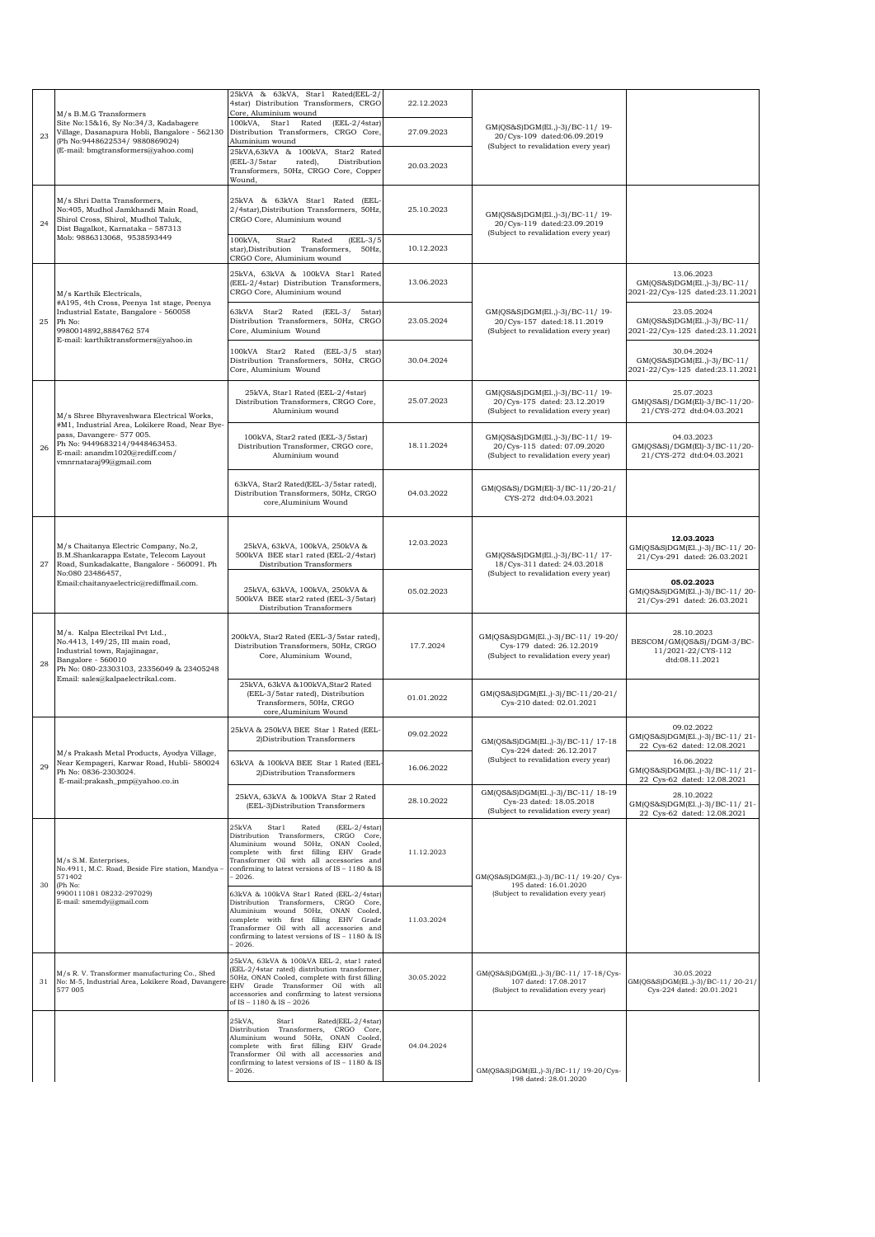|    | M/s B.M.G Transformers                                                                                                                                                                       | 25kVA & 63kVA, Star1 Rated(EEL-2/<br>4star) Distribution Transformers, CRGO<br>Core, Aluminium wound                                                                                                                                                                       | 22.12.2023 |                                                                                                         |                                                                                 |
|----|----------------------------------------------------------------------------------------------------------------------------------------------------------------------------------------------|----------------------------------------------------------------------------------------------------------------------------------------------------------------------------------------------------------------------------------------------------------------------------|------------|---------------------------------------------------------------------------------------------------------|---------------------------------------------------------------------------------|
| 23 | Site No:15&16, Sy No:34/3, Kadabagere<br>Village, Dasanapura Hobli, Bangalore - 562130<br>(Ph No:9448622534/ 9880869024)                                                                     | 100kVA, Star1 Rated<br>$(EEL-2/4star)$<br>Distribution Transformers, CRGO Core,<br>Aluminium wound                                                                                                                                                                         | 27.09.2023 | GM(QS&S)DGM(El.,)-3)/BC-11/19-<br>20/Cys-109 dated:06.09.2019<br>(Subject to revalidation every year)   |                                                                                 |
|    | (E-mail: bmgtransformers@yahoo.com)                                                                                                                                                          | 25kVA,63kVA & 100kVA, Star2 Rated<br>(EEL-3/5star<br>Distribution<br>rated),<br>Transformers, 50Hz, CRGO Core, Copper<br>Wound,                                                                                                                                            | 20.03.2023 |                                                                                                         |                                                                                 |
| 24 | M/s Shri Datta Transformers,<br>No:405, Mudhol Jamkhandi Main Road,<br>Shirol Cross, Shirol, Mudhol Taluk,<br>Dist Bagalkot, Karnataka - 587313<br>Mob: 9886313068, 9538593449               | 25kVA & 63kVA Star1 Rated (EEL<br>2/4star), Distribution Transformers, 50Hz,<br>CRGO Core, Aluminium wound                                                                                                                                                                 | 25.10.2023 | GM(QS&S)DGM(El.,)-3)/BC-11/19-<br>20/Cys-119 dated:23.09.2019<br>(Subject to revalidation every year)   |                                                                                 |
|    |                                                                                                                                                                                              | 100kVA,<br>Star2<br>Rated<br>$(ELL-3/5)$<br>star), Distribution Transformers, 50Hz,<br>CRGO Core, Aluminium wound                                                                                                                                                          | 10.12.2023 |                                                                                                         |                                                                                 |
| 25 | M/s Karthik Electricals,<br>#A195, 4th Cross, Peenya 1st stage, Peenya<br>Industrial Estate, Bangalore - 560058<br>Ph No:<br>9980014892,8884762 574                                          | 25kVA, 63kVA & 100kVA Star1 Rated<br>(EEL-2/4star) Distribution Transformers.<br>CRGO Core, Aluminium wound                                                                                                                                                                | 13.06.2023 | GM(QS&S)DGM(El.,)-3)/BC-11/19-<br>20/Cys-157 dated:18.11.2019<br>(Subject to revalidation every year)   | 13.06.2023<br>GM(QS&S)DGM(E1.,)-3)/BC-11/<br>2021-22/Cys-125 dated:23.11.2021   |
|    |                                                                                                                                                                                              | 63kVA Star2 Rated (EEL-3/<br>5star)<br>Distribution Transformers, 50Hz, CRGO<br>Core, Aluminium Wound                                                                                                                                                                      | 23.05.2024 |                                                                                                         | 23.05.2024<br>GM(QS&S)DGM(El.,)-3)/BC-11/<br>2021-22/Cys-125 dated:23.11.2021   |
|    | E-mail: karthiktransformers@yahoo.in                                                                                                                                                         | 100kVA Star2 Rated (EEL-3/5 star)<br>Distribution Transformers, 50Hz, CRGO<br>Core, Aluminium Wound                                                                                                                                                                        | 30.04.2024 |                                                                                                         | 30.04.2024<br>GM(QS&S)DGM(E1.,)-3)/BC-11/<br>2021-22/Cys-125 dated:23.11.2021   |
|    | M/s Shree Bhyraveshwara Electrical Works,                                                                                                                                                    | 25kVA, Star1 Rated (EEL-2/4star)<br>Distribution Transformers, CRGO Core,<br>Aluminium wound                                                                                                                                                                               | 25.07.2023 | GM(QS&S)DGM(El.,)-3)/BC-11/19-<br>20/Cys-175 dated: 23.12.2019<br>(Subject to revalidation every year)  | 25.07.2023<br>GM(QS&S)/DGM(El)-3/BC-11/20-<br>21/CYS-272 dtd:04.03.2021         |
| 26 | #M1, Industrial Area, Lokikere Road, Near Bye-<br>pass, Davangere- 577 005.<br>Ph No: 9449683214/9448463453.<br>E-mail: anandm1020@rediff.com/<br>vmnrnataraj99@gmail.com                    | 100kVA, Star2 rated (EEL-3/5star)<br>Distribution Transformer, CRGO core,<br>Aluminium wound                                                                                                                                                                               | 18.11.2024 | GM(QS&S)DGM(El.,)-3)/BC-11/19-<br>20/Cvs-115 dated: 07.09.2020<br>(Subject to revalidation every year)  | 04.03.2023<br>GM(QS&S)/DGM(El)-3/BC-11/20-<br>21/CYS-272 dtd:04.03.2021         |
|    |                                                                                                                                                                                              | 63kVA, Star2 Rated(EEL-3/5star rated),<br>Distribution Transformers, 50Hz, CRGO<br>core, Aluminium Wound                                                                                                                                                                   | 04.03.2022 | GM(QS&S)/DGM(El)-3/BC-11/20-21/<br>CYS-272 dtd:04.03.2021                                               |                                                                                 |
| 27 | M/s Chaitanya Electric Company, No.2,<br>B.M.Shankarappa Estate, Telecom Layout<br>Road, Sunkadakatte, Bangalore - 560091. Ph<br>No:080 23486457,<br>Email:chaitanyaelectric@rediffmail.com. | 25kVA, 63kVA, 100kVA, 250kVA &<br>500kVA BEE star1 rated (EEL-2/4star)<br>Distribution Transformers                                                                                                                                                                        | 12.03.2023 | GM(QS&S)DGM(El.,)-3)/BC-11/17-<br>18/Cys-311 dated: 24.03.2018                                          | 12.03.2023<br>GM(QS&S)DGM(E1.,)-3)/BC-11/20-<br>21/Cys-291 dated: 26.03.2021    |
|    |                                                                                                                                                                                              | 25kVA, 63kVA, 100kVA, 250kVA &<br>500kVA BEE star2 rated (EEL-3/5star)<br>Distribution Transformers                                                                                                                                                                        | 05.02.2023 | (Subject to revalidation every year)                                                                    | 05.02.2023<br>GM(QS&S)DGM(El.,)-3)/BC-11/20-<br>21/Cys-291 dated: 26.03.2021    |
| 28 | M/s. Kalpa Electrikal Pvt Ltd.,<br>No.4413, 149/25, III main road,<br>Industrial town, Rajajinagar,<br>Bangalore - 560010<br>Ph No: 080-23303103, 23356049 & 23405248                        | 200kVA, Star2 Rated (EEL-3/5star rated),<br>Distribution Transformers, 50Hz, CRGO<br>Core, Aluminium Wound,                                                                                                                                                                | 17.7.2024  | GM(QS&S)DGM(El.,)-3)/BC-11/ 19-20/<br>Cys-179 dated: 26.12.2019<br>(Subject to revalidation every year) | 28.10.2023<br>BESCOM/GM(QS&S)/DGM-3/BC-<br>11/2021-22/CYS-112<br>dtd:08.11.2021 |
|    | Email: sales@kalpaelectrikal.com.                                                                                                                                                            | 25kVA, 63kVA & 100kVA, Star2 Rated<br>(EEL-3/5star rated), Distribution<br>Transformers, 50Hz, CRGO<br>core, Aluminium Wound                                                                                                                                               | 01.01.2022 | GM(QS&S)DGM(El.,)-3)/BC-11/20-21/<br>Cys-210 dated: 02.01.2021                                          |                                                                                 |
|    |                                                                                                                                                                                              | 25kVA & 250kVA BEE Star 1 Rated (EEL-<br>2) Distribution Transformers                                                                                                                                                                                                      | 09.02.2022 | GM(QS&S)DGM(El.,)-3)/BC-11/ 17-18                                                                       | 09.02.2022<br>GM(QS&S)DGM(El.,)-3)/BC-11/21-<br>22 Cys-62 dated: 12.08.2021     |
| 29 | M/s Prakash Metal Products, Ayodya Village,<br>Near Kempageri, Karwar Road, Hubli- 580024<br>Ph No: 0836-2303024.<br>E-mail:prakash_pmp@yahoo.co.in                                          | 63kVA & 100kVA BEE Star 1 Rated (EEL<br>2) Distribution Transformers                                                                                                                                                                                                       | 16.06.2022 | Cys-224 dated: 26.12.2017<br>(Subject to revalidation every year)                                       | 16.06.2022<br>GM(QS&S)DGM(El.,)-3)/BC-11/21-<br>22 Cys-62 dated: 12.08.2021     |
|    |                                                                                                                                                                                              | 25kVA, 63kVA & 100kVA Star 2 Rated<br>(EEL-3)Distribution Transformers                                                                                                                                                                                                     | 28.10.2022 | GM(QS&S)DGM(El.,)-3)/BC-11/18-19<br>Cys-23 dated: 18.05.2018<br>(Subject to revalidation every year)    | 28.10.2022<br>GM(QS&S)DGM(El.,)-3)/BC-11/21-<br>22 Cys-62 dated: 12.08.2021     |
|    | M/s S.M. Enterprises,<br>No.4911, M.C. Road, Beside Fire station, Mandya -<br>571402                                                                                                         | 25kVA<br>Star1<br>Rated<br>(EEL-2/4star)<br>CRGO Core<br>Distribution Transformers,<br>Aluminium wound 50Hz, ONAN Cooled,<br>complete with first filling EHV Grade<br>Transformer Oil with all accessories and<br>confirming to latest versions of IS - 1180 & IS<br>2026. | 11.12.2023 | GM(QS&S)DGM(El.,)-3)/BC-11/ 19-20/ Cys-<br>195 dated: 16.01.2020                                        |                                                                                 |
| 30 | (Ph No:<br>9900111081 08232-297029)<br>E-mail: smemdy@gmail.com                                                                                                                              | 63kVA & 100kVA Star1 Rated (EEL-2/4star)<br>Distribution Transformers, CRGO Core,<br>Aluminium wound 50Hz, ONAN Cooled,<br>complete with first filling EHV Grade<br>Transformer Oil with all accessories and<br>confirming to latest versions of IS - 1180 & IS<br>2026.   | 11.03.2024 | (Subject to revalidation every year)                                                                    |                                                                                 |
| 31 | M/s R.V. Transformer manufacturing Co., Shed<br>No: M-5, Industrial Area, Lokikere Road, Davangere<br>577 005                                                                                | 25kVA, 63kVA & 100kVA EEL-2, star1 rated<br>(EEL-2/4star rated) distribution transformer,<br>50Hz, ONAN Cooled, complete with first filling<br>EHV<br>Grade Transformer Oil with all<br>accessories and confirming to latest versions<br>of IS - 1180 & IS - 2026          | 30.05.2022 | GM(QS&S)DGM(El.,)-3)/BC-11/ 17-18/Cys-<br>107 dated: 17.08.2017<br>(Subject to revalidation every year) | 30.05.2022<br>GM(QS&S)DGM(El.,)-3)/BC-11/20-21/<br>Cys-224 dated: 20.01.2021    |
|    |                                                                                                                                                                                              | 25kVA,<br>Star1<br>Rated(EEL-2/4star)<br>Distribution Transformers, CRGO Core<br>Aluminium wound 50Hz, ONAN Cooled,<br>complete with first filling EHV Grade<br>Transformer Oil with all accessories and<br>confirming to latest versions of IS - 1180 & IS<br>2026.       | 04.04.2024 | GM(QS&S)DGM(El.,)-3)/BC-11/ 19-20/Cys-<br>198 dated: 28.01.2020                                         |                                                                                 |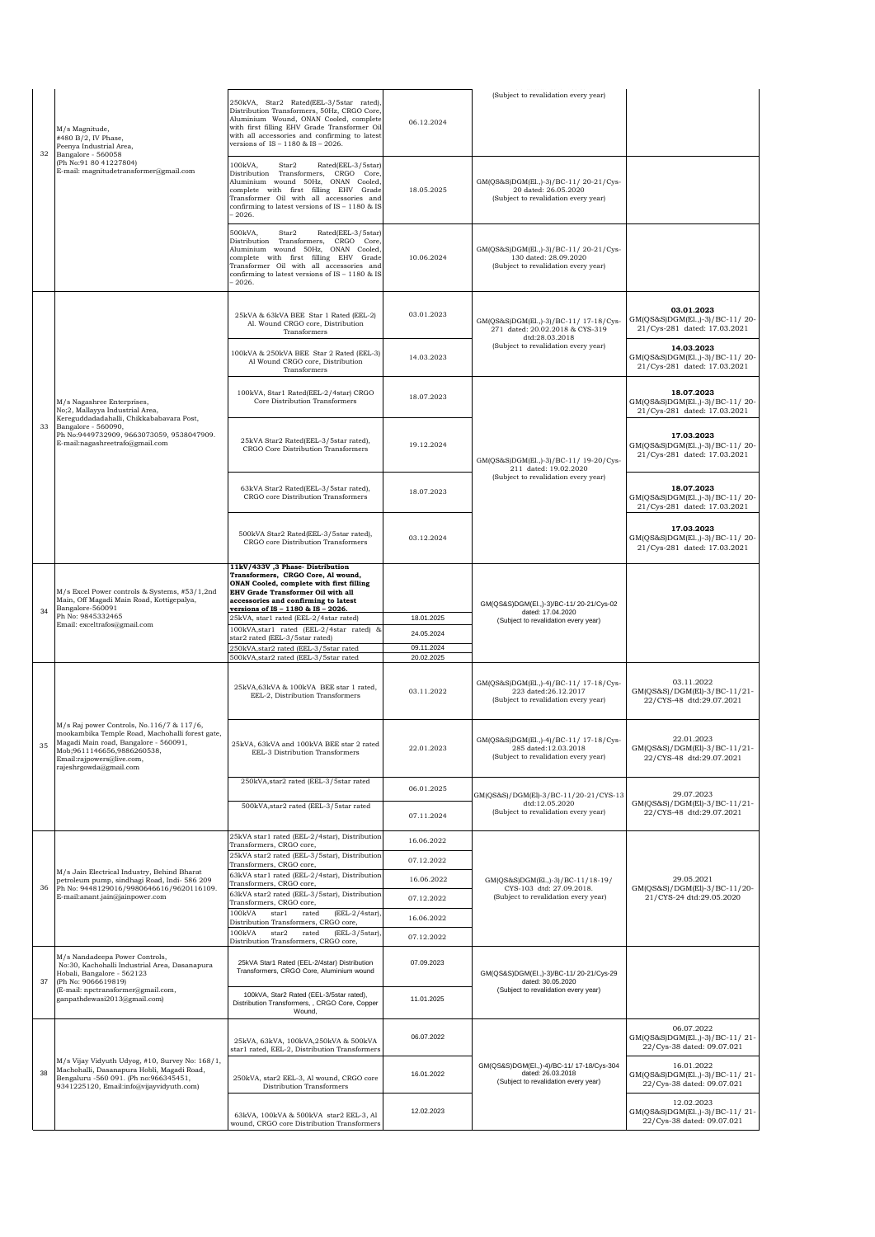|    |                                                                                                                                                                                                                            |                                                                                                                                                                                                                                                                        |                          | (Subject to revalidation every year)                                                                   |                                                                              |
|----|----------------------------------------------------------------------------------------------------------------------------------------------------------------------------------------------------------------------------|------------------------------------------------------------------------------------------------------------------------------------------------------------------------------------------------------------------------------------------------------------------------|--------------------------|--------------------------------------------------------------------------------------------------------|------------------------------------------------------------------------------|
| 32 | M/s Magnitude,<br>#480 B/2, IV Phase,<br>Peenya Industrial Area,<br>Bangalore - 560058                                                                                                                                     | 250kVA, Star2 Rated(EEL-3/5star rated),<br>Distribution Transformers, 50Hz, CRGO Core<br>Aluminium Wound, ONAN Cooled, complete<br>with first filling EHV Grade Transformer Oil<br>with all accessories and confirming to latest<br>versions of IS - 1180 & IS - 2026. | 06.12.2024               |                                                                                                        |                                                                              |
|    | (Ph No: 91 80 41227804)<br>E-mail: magnitudetransformer@gmail.com                                                                                                                                                          | 100kVA,<br>Star2<br>Rated(EEL-3/5star)<br>Distribution Transformers, CRGO Core,<br>Aluminium wound 50Hz, ONAN Cooled,<br>complete with first filling EHV Grade<br>Transformer Oil with all accessories and<br>confirming to latest versions of IS - 1180 & IS<br>2026. | 18.05.2025               | GM(QS&S)DGM(El.,)-3)/BC-11/20-21/Cys-<br>20 dated: 26.05.2020<br>(Subject to revalidation every year)  |                                                                              |
|    |                                                                                                                                                                                                                            | 500kVA.<br>Star2<br>Rated(EEL-3/5star)<br>Distribution Transformers, CRGO Core,<br>Aluminium wound 50Hz, ONAN Cooled,<br>complete with first filling EHV Grade<br>Transformer Oil with all accessories and<br>confirming to latest versions of IS - 1180 & IS<br>2026. | 10.06.2024               | GM(QS&S)DGM(El.,)-3)/BC-11/20-21/Cys-<br>130 dated: 28.09.2020<br>(Subject to revalidation every year) |                                                                              |
|    |                                                                                                                                                                                                                            | 25kVA & 63kVA BEE Star 1 Rated (EEL-2)<br>Al. Wound CRGO core, Distribution<br>Transformers                                                                                                                                                                            | 03.01.2023               | GM(QS&S)DGM(El.,)-3)/BC-11/ 17-18/Cys-<br>271 dated: 20.02.2018 & CYS-319<br>dtd:28.03.2018            | 03.01.2023<br>GM(QS&S)DGM(El.,)-3)/BC-11/20-<br>21/Cys-281 dated: 17.03.2021 |
|    |                                                                                                                                                                                                                            | 100kVA & 250kVA BEE Star 2 Rated (EEL-3)<br>Al Wound CRGO core, Distribution<br>Transformers                                                                                                                                                                           | 14.03.2023               | (Subject to revalidation every year)                                                                   | 14.03.2023<br>GM(QS&S)DGM(El.,)-3)/BC-11/20-<br>21/Cys-281 dated: 17.03.2021 |
|    | M/s Nagashree Enterprises,<br>No;2, Mallayya Industrial Area,                                                                                                                                                              | 100kVA, Star1 Rated(EEL-2/4star) CRGO<br>Core Distribution Transformers                                                                                                                                                                                                | 18.07.2023               |                                                                                                        | 18.07.2023<br>GM(QS&S)DGM(El.,)-3)/BC-11/20-<br>21/Cys-281 dated: 17.03.2021 |
| 33 | Kereguddadadahalli, Chikkababavara Post,<br>Bangalore - 560090,<br>Ph No:9449732909, 9663073059, 9538047909.<br>E-mail:nagashreetrafo@gmail.com                                                                            | 25kVA Star2 Rated(EEL-3/5star rated),<br>CRGO Core Distribution Transformers                                                                                                                                                                                           | 19.12.2024               | GM(QS&S)DGM(El.,)-3)/BC-11/ 19-20/Cys-<br>211 dated: 19.02.2020                                        | 17.03.2023<br>GM(QS&S)DGM(El.,)-3)/BC-11/20-<br>21/Cys-281 dated: 17.03.2021 |
|    |                                                                                                                                                                                                                            | 63kVA Star2 Rated(EEL-3/5star rated),<br>CRGO core Distribution Transformers                                                                                                                                                                                           | 18.07.2023               | (Subject to revalidation every year)                                                                   | 18.07.2023<br>GM(QS&S)DGM(El.,)-3)/BC-11/20-<br>21/Cys-281 dated: 17.03.2021 |
|    |                                                                                                                                                                                                                            | 500kVA Star2 Rated(EEL-3/5star rated),<br>CRGO core Distribution Transformers                                                                                                                                                                                          | 03.12.2024               |                                                                                                        | 17.03.2023<br>GM(QS&S)DGM(El.,)-3)/BC-11/20-<br>21/Cys-281 dated: 17.03.2021 |
| 34 | M/s Excel Power controls & Systems, #53/1,2nd<br>Main, Off Magadi Main Road, Kottigepalya,<br>Bangalore-560091<br>Ph No: 9845332465<br>Email: exceltrafos@gmail.com                                                        | 11kV/433V, 3 Phase-Distribution<br>Transformers, CRGO Core, Al wound,<br>ONAN Cooled, complete with first filling<br>EHV Grade Transformer Oil with all<br>accessories and confirming to latest<br>versions of IS - 1180 & IS - 2026.                                  |                          | GM(QS&S)DGM(El.,)-3)/BC-11/20-21/Cys-02<br>dated: 17.04.2020                                           |                                                                              |
|    |                                                                                                                                                                                                                            |                                                                                                                                                                                                                                                                        |                          |                                                                                                        |                                                                              |
|    |                                                                                                                                                                                                                            | 25kVA, star1 rated (EEL-2/4star rated)                                                                                                                                                                                                                                 | 18.01.2025               | (Subject to revalidation every year)                                                                   |                                                                              |
|    |                                                                                                                                                                                                                            | 100kVA, star1 rated (EEL-2/4star rated)<br>star2 rated (EEL-3/5star rated)                                                                                                                                                                                             | 24.05.2024               |                                                                                                        |                                                                              |
|    |                                                                                                                                                                                                                            | 250kVA, star2 rated (EEL-3/5star rated<br>500kVA, star2 rated (EEL-3/5star rated                                                                                                                                                                                       | 09.11.2024<br>20.02.2025 |                                                                                                        |                                                                              |
|    |                                                                                                                                                                                                                            | 25kVA,63kVA & 100kVA BEE star 1 rated,<br>EEL-2, Distribution Transformers                                                                                                                                                                                             | 03.11.2022               | GM(QS&S)DGM(El.,)-4)/BC-11/ 17-18/Cys-<br>223 dated:26.12.2017<br>(Subject to revalidation every year) | 03.11.2022<br>GM(QS&S)/DGM(El)-3/BC-11/21-<br>22/CYS-48 dtd:29.07.2021       |
| 35 | M/s Raj power Controls, No.116/7 & 117/6,<br>mookambika Temple Road, Machohalli forest gate,<br>Magadi Main road, Bangalore - 560091,<br>Mob;9611146656,9886260538,<br>Email:rajpowers@live.com,<br>rajeshrgowda@gmail.com | 25kVA 63kVA and 100kVA REE star 2 rated<br>EEL-3 Distribution Transformers                                                                                                                                                                                             | 22.01.2023               | GM(QS&S)DGM(El.,)-4)/BC-11/ 17-18/Cys-<br>285 dated:12.03.2018<br>(Subject to revalidation every year) | 22.01.2023<br>GM(QS&S)/DGM(El)-3/BC-11/21-<br>22/CYS-48 dtd:29.07.2021       |
|    |                                                                                                                                                                                                                            | 250kVA, star2 rated (EEL-3/5star rated                                                                                                                                                                                                                                 | 06.01.2025               |                                                                                                        |                                                                              |
|    |                                                                                                                                                                                                                            | 500kVA, star2 rated (EEL-3/5star rated                                                                                                                                                                                                                                 | 07.11.2024               | GM(QS&S)/DGM(El)-3/BC-11/20-21/CYS-13<br>dtd:12.05.2020<br>(Subject to revalidation every year)        | 29.07.2023<br>GM(QS&S)/DGM(El)-3/BC-11/21-<br>22/CYS-48 dtd:29.07.2021       |
|    |                                                                                                                                                                                                                            | 25kVA star1 rated (EEL-2/4star), Distribution                                                                                                                                                                                                                          |                          |                                                                                                        |                                                                              |
|    |                                                                                                                                                                                                                            | Transformers, CRGO core,<br>25kVA star2 rated (EEL-3/5star), Distribution                                                                                                                                                                                              | 16.06.2022               |                                                                                                        |                                                                              |
|    | M/s Jain Electrical Industry, Behind Bharat                                                                                                                                                                                | Transformers, CRGO core,<br>63kVA star1 rated (EEL-2/4star), Distribution                                                                                                                                                                                              | 07.12.2022               |                                                                                                        |                                                                              |
| 36 | petroleum pump, sindhagi Road, Indi- 586 209<br>Ph No: 9448129016/9980646616/9620116109.                                                                                                                                   | Transformers, CRGO core,<br>63kVA star2 rated (EEL-3/5star), Distribution                                                                                                                                                                                              | 16.06.2022               | GM(QS&S)DGM(El.,)-3)/BC-11/18-19/<br>CYS-103 dtd: 27.09.2018.                                          | 29.05.2021<br>GM(QS&S)/DGM(El)-3/BC-11/20-                                   |
|    | E-mail:anant.jain@jainpower.com                                                                                                                                                                                            | Transformers, CRGO core,<br>100kVA<br>star1<br>$(EEL-2/4star)$<br>rated                                                                                                                                                                                                | 07.12.2022               | (Subject to revalidation every year)                                                                   | 21/CYS-24 dtd:29.05.2020                                                     |
|    |                                                                                                                                                                                                                            | Distribution Transformers, CRGO core,<br>100kVA<br>$(EEL-3/5star)$<br>star2<br>rated                                                                                                                                                                                   | 16.06.2022               |                                                                                                        |                                                                              |
|    |                                                                                                                                                                                                                            | Distribution Transformers, CRGO core,                                                                                                                                                                                                                                  | 07.12.2022               |                                                                                                        |                                                                              |
| 37 | M/s Nandadeepa Power Controls,<br>No:30, Kachohalli Industrial Area, Dasanapura<br>Hobali, Bangalore - 562123<br>(Ph No: 9066619819)                                                                                       | 25kVA Star1 Rated (EEL-2/4star) Distribution<br>Transformers, CRGO Core, Aluminium wound                                                                                                                                                                               | 07.09.2023               | GM(QS&S)DGM(El.,)-3)/BC-11/20-21/Cys-29<br>dated: 30.05.2020                                           |                                                                              |
|    | (E-mail: npctransformer@gmail.com,<br>ganpathdewasi2013@gmail.com)                                                                                                                                                         | 100kVA, Star2 Rated (EEL-3/5star rated),<br>Distribution Transformers, , CRGO Core, Copper<br>Wound,                                                                                                                                                                   | 11.01.2025               | (Subject to revalidation every year)                                                                   |                                                                              |
|    |                                                                                                                                                                                                                            | 25kVA, 63kVA, 100kVA, 250kVA & 500kVA<br>star1 rated, EEL-2, Distribution Transformers                                                                                                                                                                                 | 06.07.2022               |                                                                                                        | 06.07.2022<br>GM(QS&S)DGM(El.,)-3)/BC-11/21-<br>22/Cys-38 dated: 09.07.021   |
| 38 | M/s Vijay Vidyuth Udyog, #10, Survey No: 168/1,<br>Machohalli, Dasanapura Hobli, Magadi Road,<br>Bengaluru -560 091. (Ph no:966345451,<br>9341225120, Email:info@vijayvidyuth.com)                                         | 250kVA, star2 EEL-3, Al wound, CRGO core<br>Distribution Transformers                                                                                                                                                                                                  | 16.01.2022               | GM(QS&S)DGM(El.,)-4)/BC-11/ 17-18/Cys-304<br>dated: 26.03.2018<br>(Subject to revalidation every year) | 16.01.2022<br>GM(QS&S)DGM(El.,)-3)/BC-11/21-<br>22/Cys-38 dated: 09.07.021   |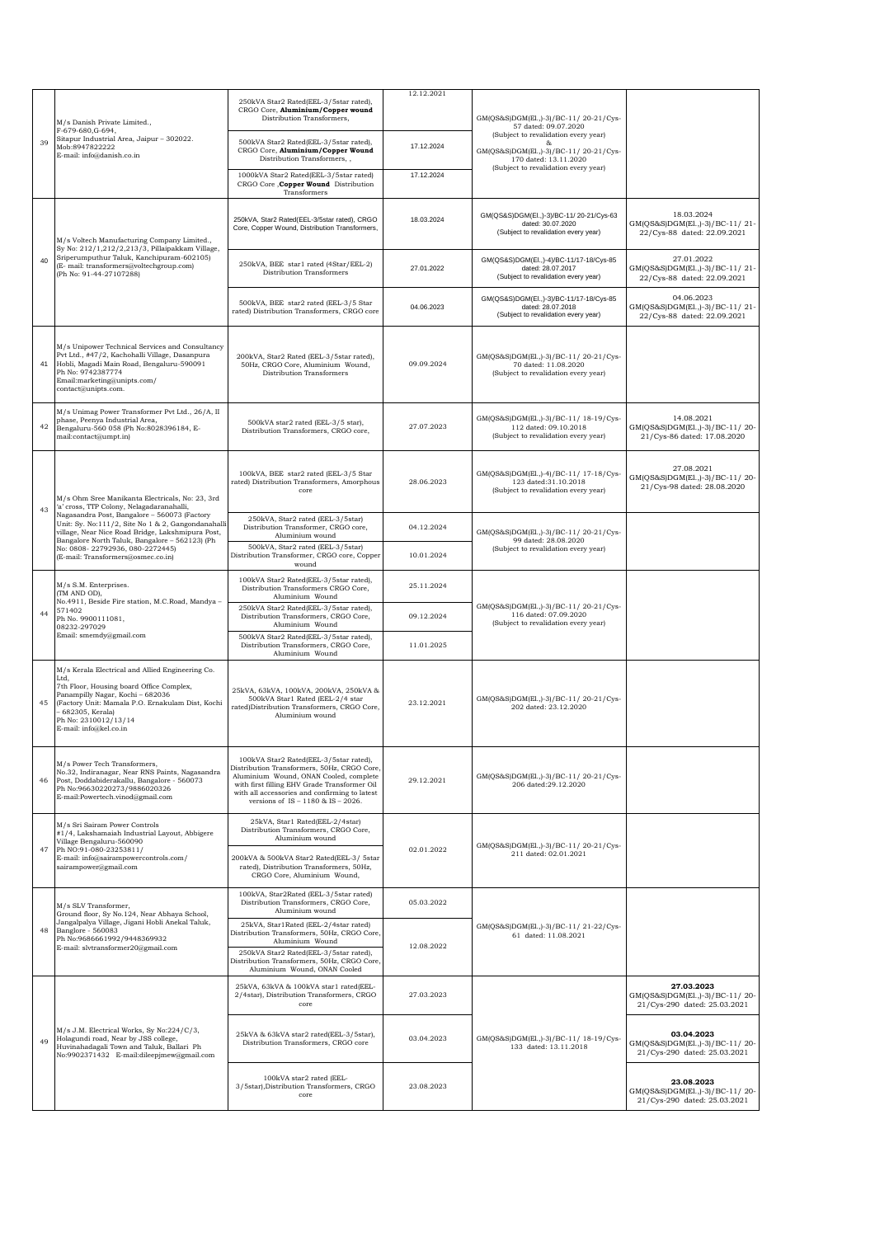|    | M/s Danish Private Limited.,<br>F-679-680, G-694,                                                                                                                                                                                                                 | 250kVA Star2 Rated(EEL-3/5star rated),<br>CRGO Core, Aluminium/Copper wound<br>Distribution Transformers,                                                                                                                                                                   | 12.12.2021 | GM(QS&S)DGM(El.,)-3)/BC-11/20-21/Cys-<br>57 dated: 09.07.2020                                                                                  |                                                                              |
|----|-------------------------------------------------------------------------------------------------------------------------------------------------------------------------------------------------------------------------------------------------------------------|-----------------------------------------------------------------------------------------------------------------------------------------------------------------------------------------------------------------------------------------------------------------------------|------------|------------------------------------------------------------------------------------------------------------------------------------------------|------------------------------------------------------------------------------|
| 39 | Sitapur Industrial Area, Jaipur - 302022.<br>Mob:8947822222<br>E-mail: info@danish.co.in                                                                                                                                                                          | 500kVA Star2 Rated(EEL-3/5star rated),<br>CRGO Core, Aluminium/Copper Wound<br>Distribution Transformers,,                                                                                                                                                                  | 17.12.2024 | (Subject to revalidation every year)<br>GM(QS&S)DGM(El.,)-3)/BC-11/20-21/Cys-<br>170 dated: 13.11.2020<br>(Subject to revalidation every year) |                                                                              |
|    |                                                                                                                                                                                                                                                                   | 1000kVA Star2 Rated(EEL-3/5star rated)<br>CRGO Core , Copper Wound Distribution<br>Transformers                                                                                                                                                                             | 17.12.2024 |                                                                                                                                                |                                                                              |
| 40 | M/s Voltech Manufacturing Company Limited.,<br>Sy No: 212/1,212/2,213/3, Pillaipakkam Village,<br>Sriperumputhur Taluk, Kanchipuram-602105)<br>(E- mail: transformers@voltechgroup.com)<br>(Ph No: 91-44-27107288)                                                | 250kVA, Star2 Rated(EEL-3/5star rated), CRGO<br>Core, Copper Wound, Distribution Transformers,                                                                                                                                                                              | 18.03.2024 | GM(QS&S)DGM(El.,)-3)/BC-11/20-21/Cys-63<br>dated: 30.07.2020<br>(Subject to revalidation every year)                                           | 18.03.2024<br>GM(QS&S)DGM(El.,)-3)/BC-11/21-<br>22/Cys-88 dated: 22.09.2021  |
|    |                                                                                                                                                                                                                                                                   | 250kVA, BEE star1 rated (4Star/EEL-2)<br>Distribution Transformers                                                                                                                                                                                                          | 27.01.2022 | GM(QS&S)DGM(El.,)-4)/BC-11/17-18/Cys-85<br>dated: 28.07.2017<br>(Subject to revalidation every year)                                           | 27.01.2022<br>GM(QS&S)DGM(El.,)-3)/BC-11/21-<br>22/Cys-88 dated: 22.09.2021  |
|    |                                                                                                                                                                                                                                                                   | 500kVA, BEE star2 rated (EEL-3/5 Star<br>rated) Distribution Transformers, CRGO core                                                                                                                                                                                        | 04.06.2023 | GM(QS&S)DGM(El.,)-3)/BC-11/17-18/Cys-85<br>dated: 28.07.2018<br>(Subject to revalidation every year)                                           | 04.06.2023<br>GM(QS&S)DGM(El.,)-3)/BC-11/21-<br>22/Cys-88 dated: 22.09.2021  |
| 41 | M/s Unipower Technical Services and Consultancy<br>Pvt Ltd., #47/2, Kachohalli Village, Dasanpura<br>Hobli, Magadi Main Road, Bengaluru-590091<br>Ph No: 9742387774<br>Email:marketing@unipts.com/<br>contact@unipts.com.                                         | 200kVA, Star2 Rated (EEL-3/5star rated),<br>50Hz, CRGO Core, Aluminium Wound,<br>Distribution Transformers                                                                                                                                                                  | 09.09.2024 | GM(QS&S)DGM(El.,)-3)/BC-11/20-21/Cys-<br>70 dated: 11.08.2020<br>(Subject to revalidation every year)                                          |                                                                              |
| 42 | M/s Unimag Power Transformer Pvt Ltd., 26/A, II<br>phase, Peenya Industrial Area,<br>Bengaluru-560 058 (Ph No:8028396184, E-<br>mail:contact@umpt.in)                                                                                                             | 500kVA star2 rated (EEL-3/5 star),<br>Distribution Transformers, CRGO core,                                                                                                                                                                                                 | 27.07.2023 | GM(QS&S)DGM(El.,)-3)/BC-11/ 18-19/Cys-<br>112 dated: 09.10.2018<br>(Subject to revalidation every year)                                        | 14.08.2021<br>GM(QS&S)DGM(El.,)-3)/BC-11/20-<br>21/Cys-86 dated: 17.08.2020  |
|    | M/s Ohm Sree Manikanta Electricals, No: 23, 3rd<br>'a' cross, TTP Colony, Nelagadaranahalli,                                                                                                                                                                      | 100kVA, BEE star2 rated (EEL-3/5 Star<br>rated) Distribution Transformers, Amorphous<br>core                                                                                                                                                                                | 28.06.2023 | GM(QS&S)DGM(El.,)-4)/BC-11/ 17-18/Cvs-<br>123 dated:31.10.2018<br>(Subject to revalidation every year)                                         | 27.08.2021<br>GM(QS&S)DGM(E1.,)-3)/BC-11/20-<br>21/Cys-98 dated: 28.08.2020  |
| 43 | Nagasandra Post, Bangalore - 560073 (Factory<br>Unit: Sy. No:111/2, Site No 1 & 2, Gangondanahalli<br>village, Near Nice Road Bridge, Lakshmipura Post,                                                                                                           | 250kVA, Star2 rated (EEL-3/5star)<br>Distribution Transformer, CRGO core,<br>Aluminium wound                                                                                                                                                                                | 04.12.2024 | GM(QS&S)DGM(El.,)-3)/BC-11/20-21/Cys-                                                                                                          |                                                                              |
|    | Bangalore North Taluk, Bangalore - 562123) (Ph<br>No: 0808-22792936, 080-2272445)<br>(E-mail: Transformers@osmec.co.in)                                                                                                                                           | 500kVA, Star2 rated (EEL-3/5star)<br>Distribution Transformer, CRGO core, Copper<br>wound                                                                                                                                                                                   | 10.01.2024 | 99 dated: 28.08.2020<br>(Subject to revalidation every year)                                                                                   |                                                                              |
|    | M/s S.M. Enterprises.<br>(TM AND OD),<br>No.4911, Beside Fire station, M.C.Road, Mandya -<br>571402<br>Ph No. 9900111081,<br>08232-297029<br>Email: smemdy@gmail.com                                                                                              | 100kVA Star2 Rated(EEL-3/5star rated),<br>Distribution Transformers CRGO Core,<br>Aluminium Wound                                                                                                                                                                           | 25.11.2024 | GM(QS&S)DGM(El.,)-3)/BC-11/20-21/Cvs-<br>116 dated: 07.09.2020<br>(Subject to revalidation every year)                                         |                                                                              |
| 44 |                                                                                                                                                                                                                                                                   | 250kVA Star2 Rated(EEL-3/5star rated),<br>Distribution Transformers, CRGO Core,<br>Aluminium Wound                                                                                                                                                                          | 09.12.2024 |                                                                                                                                                |                                                                              |
|    |                                                                                                                                                                                                                                                                   | 500kVA Star2 Rated(EEL-3/5star rated),<br>Distribution Transformers, CRGO Core,<br>Aluminium Wound                                                                                                                                                                          | 11.01.2025 |                                                                                                                                                |                                                                              |
| 45 | M/s Kerala Electrical and Allied Engineering Co.<br>Ltd.<br>7th Floor, Housing board Office Complex,<br>Panampilly Nagar, Kochi - 682036<br>(Factory Unit: Mamala P.O. Ernakulam Dist, Kochi<br>682305, Kerala)<br>Ph No: 2310012/13/14<br>E-mail: info@kel.co.in | 25kVA, 63kVA, 100kVA, 200kVA, 250kVA &<br>500kVA Star1 Rated (EEL-2/4 star<br>rated)Distribution Transformers, CRGO Core,<br>Aluminium wound                                                                                                                                | 23.12.2021 | GM(QS&S)DGM(El.,)-3)/BC-11/20-21/Cvs-<br>202 dated: 23.12.2020                                                                                 |                                                                              |
| 46 | M/s Power Tech Transformers,<br>No.32, Indiranagar, Near RNS Paints, Nagasandra<br>Post, Doddabiderakallu, Bangalore - 560073<br>Ph No:96630220273/9886020326<br>E-mail:Powertech.vinod@gmail.com                                                                 | 100kVA Star2 Rated(EEL-3/5star rated),<br>Distribution Transformers, 50Hz, CRGO Core,<br>Aluminium Wound, ONAN Cooled, complete<br>with first filling EHV Grade Transformer Oil<br>with all accessories and confirming to latest<br>versions of $IS - 1180$ & $IS - 2026$ . | 29.12.2021 | GM(QS&S)DGM(El.,)-3)/BC-11/20-21/Cys-<br>206 dated:29.12.2020                                                                                  |                                                                              |
|    | M/s Sri Sairam Power Controls<br>#1/4, Lakshamaiah Industrial Layout, Abbigere<br>Village Bengaluru-560090                                                                                                                                                        | 25kVA, Star1 Rated(EEL-2/4star)<br>Distribution Transformers, CRGO Core,<br>Aluminium wound                                                                                                                                                                                 |            |                                                                                                                                                |                                                                              |
| 47 | Ph NO:91-080-23253811/<br>E-mail: info@sairampowercontrols.com/<br>sairampower@gmail.com                                                                                                                                                                          | 200kVA & 500kVA Star2 Rated(EEL-3/ 5star<br>rated), Distribution Transformers, 50Hz,<br>CRGO Core, Aluminium Wound,                                                                                                                                                         | 02.01.2022 | GM(QS&S)DGM(El.,)-3)/BC-11/20-21/Cys-<br>211 dated: 02.01.2021                                                                                 |                                                                              |
|    | M/s SLV Transformer.<br>Ground floor, Sy No.124, Near Abhaya School,                                                                                                                                                                                              | 100kVA, Star2Rated (EEL-3/5star rated)<br>Distribution Transformers, CRGO Core,<br>Aluminium wound                                                                                                                                                                          | 05.03.2022 |                                                                                                                                                |                                                                              |
| 48 | Jangalpalya Village, Jigani Hobli Anekal Taluk,<br>Banglore - 560083<br>Ph No:9686661992/9448369932<br>E-mail: slvtransformer20@gmail.com                                                                                                                         | 25kVA, Star1Rated (EEL-2/4star rated)<br>Distribution Transformers, 50Hz, CRGO Core,<br>Aluminium Wound<br>250kVA Star2 Rated(EEL-3/5star rated),<br>Distribution Transformers, 50Hz, CRGO Core,<br>Aluminium Wound, ONAN Cooled                                            | 12.08.2022 | GM(QS&S)DGM(El.,)-3)/BC-11/21-22/Cys-<br>61 dated: 11.08.2021                                                                                  |                                                                              |
|    |                                                                                                                                                                                                                                                                   | 25kVA, 63kVA & 100kVA star1 rated(EEL-<br>2/4star), Distribution Transformers, CRGO<br>core                                                                                                                                                                                 | 27.03.2023 |                                                                                                                                                | 27.03.2023<br>GM(QS&S)DGM(El.,)-3)/BC-11/20-<br>21/Cys-290 dated: 25.03.2021 |
| 49 | M/s J.M. Electrical Works, Sy No:224/C/3,<br>Holagundi road, Near by JSS college,<br>Huvinahadagali Town and Taluk, Ballari Ph<br>No:9902371432 E-mail:dileepjmew@gmail.com                                                                                       | 25kVA & 63kVA star2 rated(EEL-3/5star),<br>Distribution Transformers, CRGO core                                                                                                                                                                                             | 03.04.2023 | GM(QS&S)DGM(El.,)-3)/BC-11/ 18-19/Cvs-<br>133 dated: 13.11.2018                                                                                | 03.04.2023<br>GM(QS&S)DGM(El.,)-3)/BC-11/20-<br>21/Cys-290 dated: 25.03.2021 |
|    |                                                                                                                                                                                                                                                                   | 100kVA star2 rated (EEL-<br>3/5star), Distribution Transformers, CRGO<br>core                                                                                                                                                                                               | 23.08.2023 |                                                                                                                                                | 23.08.2023<br>GM(QS&S)DGM(E1.,)-3)/BC-11/20-<br>21/Cys-290 dated: 25.03.2021 |